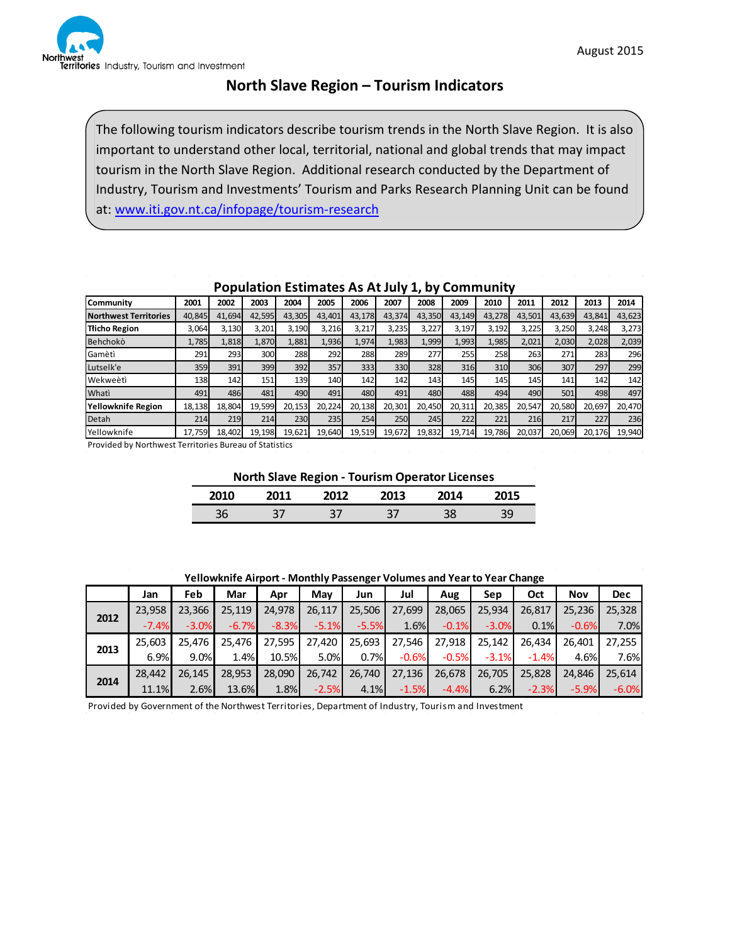

## **North Slave Region – Tourism Indicators**

The following tourism indicators describe tourism trends in the North Slave Region. It is also important to understand other local, territorial, national and global trends that may impact tourism in the North Slave Region. Additional research conducted by the Department of Industry, Tourism and Investments' Tourism and Parks Research Planning Unit can be found at: [www.iti.gov.nt.ca/infopage/tourism-research](http://www.iti.gov.nt.ca/infopage/tourism-research)

| Community                    | 2001   | 2002   | 2003   | 2004   | 2005   | 2006       | 2007   | 2008   | 2009   | 2010   | 2011   | 2012   | 2013   | 2014   |
|------------------------------|--------|--------|--------|--------|--------|------------|--------|--------|--------|--------|--------|--------|--------|--------|
| <b>Northwest Territories</b> | 40.845 | 41.694 | 42,595 | 43.305 | 43.401 | 43,178     | 43,374 | 43,350 | 43,149 | 43.278 | 43,501 | 43,639 | 43,841 | 43,623 |
| <b>Tlicho Region</b>         | 3,064  | 3,130  | 3,201  | 3,190  | 3,216  | 3,217      | 3,235  | 3,227  | 3,197  | 3,192  | 3,225  | 3,250  | 3,248  | 3,273  |
| Behchokò                     | 1,785  | 1,818  | 1,870  | 1,881  | 1,936  | 1,974      | 1,983  | 1,999  | 1,993  | 1,985  | 2,021  | 2,030  | 2,028  | 2,039  |
| Gamètì                       | 291    | 293    | 300    | 288    | 292    | 288        | 289    | 277    | 255    | 258    | 263    | 271    | 283    | 296    |
| Lutselk'e                    | 359    | 391    | 399    | 392    | 357    | 333        | 330    | 328    | 316    | 310    | 306    | 307    | 297    | 299    |
| Wekweètì                     | 138    | 142    | 151    | 139    | 140    | 142        | 142    | 143    | 145    | 145    | 145    | 141    | 142    | 142    |
| Whati                        | 491    | 486    | 481    | 490    | 491    | 480        | 491    | 480    | 488    | 494    | 490    | 501    | 498    | 497    |
| <b>Yellowknife Region</b>    | 18,138 | 18,804 | 19,599 | 20,153 | 20,224 | 20,138     | 20,301 | 20,450 | 20,311 | 20,385 | 20,547 | 20,580 | 20,697 | 20,470 |
| Detah                        | 214    | 219    | 214    | 230    | 235    | <b>254</b> | 250    | 245    | 2221   | 221    | 216    | 217    | 227    | 236    |
| Yellowknife                  | 17,759 | 18.402 | 19,198 | 19,621 | 19,640 | 19,519     | 19,672 | 19,832 | 19,714 | 19,786 | 20,037 | 20,069 | 20,176 | 19,940 |

### **Population Estimates As At July 1, by Community**

Provided by Northwest Territories Bureau of Statistics

**North Slave Region - Tourism Operator Licenses**

| 2010 | JN 1 | フロ1つ | 2013                  | ንበ14 | 2015 |
|------|------|------|-----------------------|------|------|
| 36   | 37   | 37   | $\mathbf{3}^{\prime}$ | 38   | 39   |

**Yellowknife Airport - Monthly Passenger Volumes and Year to Year Change**

|      | Jan     | Feb     | Mar     | Apr     | Mav     | Jun     | Jul     | Aug     | Sep     | Oct     | <b>Nov</b> | <b>Dec</b> |
|------|---------|---------|---------|---------|---------|---------|---------|---------|---------|---------|------------|------------|
| 2012 | 23.958  | 23.366  | 25,119  | 24.978  | 26,117  | 25,506  | 27,699  | 28,065  | 25,934  | 26,817  | 25,236     | 25,328     |
|      | $-7.4%$ | $-3.0%$ | $-6.7%$ | $-8.3%$ | $-5.1%$ | $-5.5%$ | 1.6%    | $-0.1%$ | $-3.0%$ | 0.1%    | $-0.6%$    | 7.0%       |
|      | 25.603  | 25.476  | 25.476  | 27,595  | 27,420  | 25,693  | 27,546  | 27,918  | 25.142  | 26.434  | 26.401     | 27,255     |
| 2013 | 6.9%    | 9.0%    | 1.4%    | 10.5%   | 5.0%    | 0.7%    | $-0.6%$ | $-0.5%$ | $-3.1%$ | $-1.4%$ | 4.6%       | 7.6%       |
| 2014 | 28.442  | 26.145  | 28.953  | 28,090  | 26,742  | 26,740  | 27,136  | 26,678  | 26,705  | 25,828  | 24.846     | 25,614     |
|      | 11.1%   | 2.6%    | 13.6%   | 1.8%    | $-2.5%$ | 4.1%    | $-1.5%$ | $-4.4%$ | 6.2%    | $-2.3%$ | $-5.9%$    | $-6.0%$    |

Provided by Government of the Northwest Territories, Department of Industry, Tourism and Investment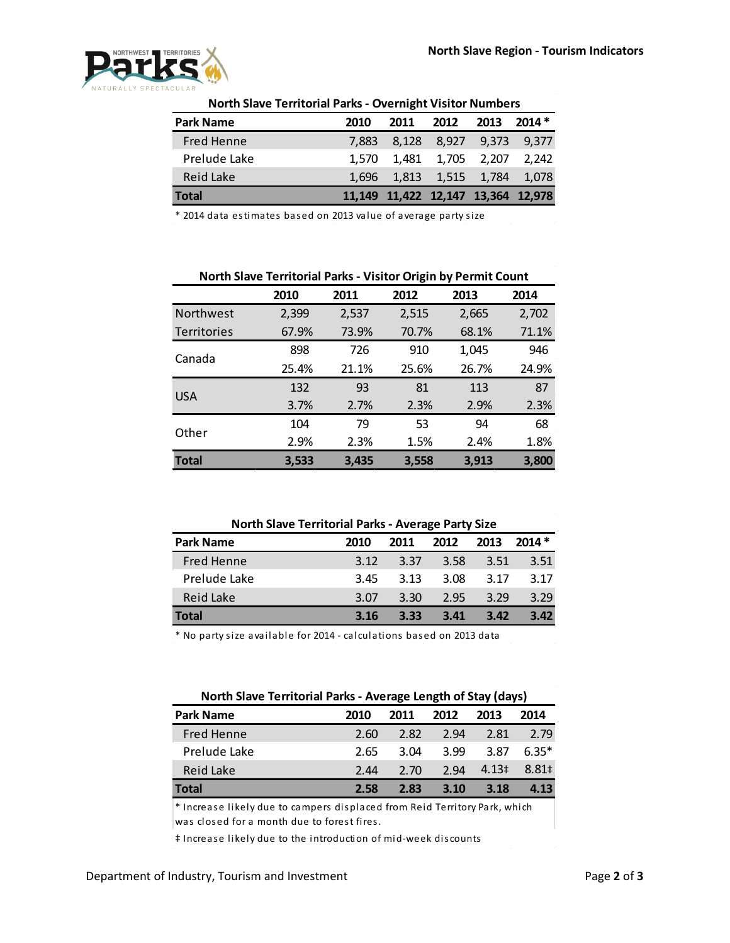

| <b>Park Name</b> | 2010  | 2011                               | 2012                    | 2013 | $2014*$ |  |  |  |  |  |
|------------------|-------|------------------------------------|-------------------------|------|---------|--|--|--|--|--|
| Fred Henne       | 7.883 |                                    | 8,128 8,927 9,373 9,377 |      |         |  |  |  |  |  |
| Prelude Lake     | 1.570 |                                    | 1,481 1,705 2,207 2,242 |      |         |  |  |  |  |  |
| Reid Lake        | 1.696 |                                    | 1,813 1,515 1,784 1,078 |      |         |  |  |  |  |  |
| <b>Total</b>     |       | 11,149 11,422 12,147 13,364 12,978 |                         |      |         |  |  |  |  |  |

#### **North Slave Territorial Parks - Overnight Visitor Numbers**

\* 2014 data estimates based on 2013 value of average party size

|                    | 2010  | 2011  | 2012  | 2013  | 2014  |
|--------------------|-------|-------|-------|-------|-------|
| <b>Northwest</b>   | 2,399 | 2,537 | 2,515 | 2,665 | 2,702 |
| <b>Territories</b> | 67.9% | 73.9% | 70.7% | 68.1% | 71.1% |
| Canada             | 898   | 726   | 910   | 1,045 | 946   |
|                    | 25.4% | 21.1% | 25.6% | 26.7% | 24.9% |
| <b>USA</b>         | 132   | 93    | 81    | 113   | 87    |
|                    | 3.7%  | 2.7%  | 2.3%  | 2.9%  | 2.3%  |
| Other              | 104   | 79    | 53    | 94    | 68    |
|                    | 2.9%  | 2.3%  | 1.5%  | 2.4%  | 1.8%  |
| <b>Total</b>       | 3,533 | 3,435 | 3,558 | 3,913 | 3,800 |

#### **North Slave Territorial Parks - Average Party Size**

| <b>Park Name</b> | 2010 | 2011 | 2012 | 2013 | $2014*$ |
|------------------|------|------|------|------|---------|
| Fred Henne       | 3.12 | 3.37 | 3.58 | 3.51 | 3.51    |
| Prelude Lake     | 3.45 | 3.13 | 3.08 | 3.17 | 3.17    |
| Reid Lake        | 3.07 | 3.30 | 2.95 | 3.29 | 3.29    |
| <b>Total</b>     | 3.16 | 3.33 | 3.41 | 3.42 | 3.42    |

\* No party size available for 2014 - calculations based on 2013 data

| North Slave Territorial Parks - Average Length of Stay (days) |      |      |      |            |         |  |  |  |  |
|---------------------------------------------------------------|------|------|------|------------|---------|--|--|--|--|
| <b>Park Name</b>                                              | 2010 | 2011 | 2012 | 2013       | 2014    |  |  |  |  |
| <b>Fred Henne</b>                                             | 2.60 | 2.82 | 2.94 | 2.81       | 2.79    |  |  |  |  |
| Prelude Lake                                                  | 2.65 | 3.04 | 3.99 | 3.87       | $6.35*$ |  |  |  |  |
| Reid Lake                                                     | 2.44 | 2.70 | 2.94 | $4.13 \pm$ | 8.81 ±  |  |  |  |  |
| Total                                                         | 2.58 | 2.83 | 3.10 | 3.18       | 4.13    |  |  |  |  |

 $*$  Increase likely due to campers displaced from Reid Territory Park, which was closed for a month due to forest fires.

‡ Increase likely due to the introduction of mid-week discounts